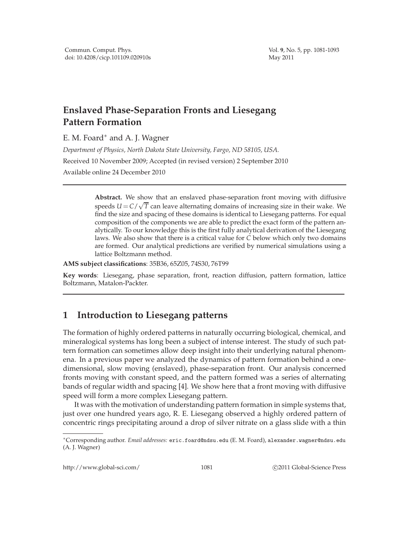# **Enslaved Phase-Separation Fronts and Liesegang Pattern Formation**

E. M. Foard∗ and A. J. Wagner

*Department of Physics, North Dakota State University, Fargo, ND 58105, USA.* Received 10 November 2009; Accepted (in revised version) 2 September 2010 Available online 24 December 2010

> **Abstract.** We show that an enslaved phase-separation front moving with diffusive speeds  $U = C/\sqrt{T}$  can leave alternating domains of increasing size in their wake. We find the size and spacing of these domains is identical to Liesegang patterns. For equal composition of the components we are able to predict the exact form of the pattern analytically. To our knowledge this is the first fully analytical derivation of the Liesegang laws. We also show that there is a critical value for *C* below which only two domains are formed. Our analytical predictions are verified by numerical simulations using a lattice Boltzmann method.

**AMS subject classifications**: 35B36, 65Z05, 74S30, 76T99

**Key words**: Liesegang, phase separation, front, reaction diffusion, pattern formation, lattice Boltzmann, Matalon-Packter.

## **1 Introduction to Liesegang patterns**

The formation of highly ordered patterns in naturally occurring biological, chemical, and mineralogical systems has long been a subject of intense interest. The study of such pattern formation can sometimes allow deep insight into their underlying natural phenomena. In a previous paper we analyzed the dynamics of pattern formation behind a onedimensional, slow moving (enslaved), phase-separation front. Our analysis concerned fronts moving with constant speed, and the pattern formed was a series of alternating bands of regular width and spacing [4]. We show here that a front moving with diffusive speed will form a more complex Liesegang pattern.

It was with the motivation of understanding pattern formation in simple systems that, just over one hundred years ago, R. E. Liesegang observed a highly ordered pattern of concentric rings precipitating around a drop of silver nitrate on a glass slide with a thin

http://www.global-sci.com/ 1081 c 2011 Global-Science Press

<sup>∗</sup>Corresponding author. *Email addresses:* eric.foard@ndsu.edu (E. M. Foard), alexander.wagner@ndsu.edu (A. J. Wagner)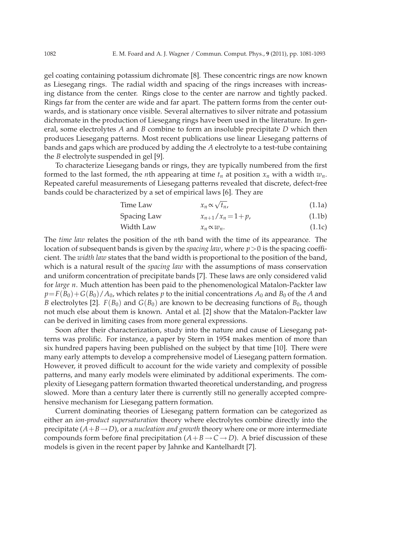gel coating containing potassium dichromate [8]. These concentric rings are now known as Liesegang rings. The radial width and spacing of the rings increases with increasing distance from the center. Rings close to the center are narrow and tightly packed. Rings far from the center are wide and far apart. The pattern forms from the center outwards, and is stationary once visible. Several alternatives to silver nitrate and potassium dichromate in the production of Liesegang rings have been used in the literature. In general, some electrolytes *A* and *B* combine to form an insoluble precipitate *D* which then produces Liesegang patterns. Most recent publications use linear Liesegang patterns of bands and gaps which are produced by adding the *A* electrolyte to a test-tube containing the *B* electrolyte suspended in gel [9].

To characterize Liesegang bands or rings, they are typically numbered from the first formed to the last formed, the *n*th appearing at time  $t_n$  at position  $x_n$  with a width  $w_n$ . Repeated careful measurements of Liesegang patterns revealed that discrete, defect-free bands could be characterized by a set of empirical laws [6]. They are

Time Law 
$$
x_n \propto \sqrt{t_n}
$$
, (1.1a)

$$
Spacing Law \t\t x_{n+1}/x_n = 1 + p, \t\t (1.1b)
$$

$$
Width Law \t x_n \propto w_n. \t (1.1c)
$$

The *time law* relates the position of the *n*th band with the time of its appearance. The location of subsequent bands is given by the *spacing law*, where *p*>0 is the spacing coefficient. The *width law* states that the band width is proportional to the position of the band, which is a natural result of the *spacing law* with the assumptions of mass conservation and uniform concentration of precipitate bands [7]. These laws are only considered valid for *large n*. Much attention has been paid to the phenomenological Matalon-Packter law  $p = F(B_0) + G(B_0)/A_0$ , which relates *p* to the initial concentrations  $A_0$  and  $B_0$  of the *A* and *B* electrolytes [2].  $F(B_0)$  and  $G(B_0)$  are known to be decreasing functions of  $B_0$ , though not much else about them is known. Antal et al. [2] show that the Matalon-Packter law can be derived in limiting cases from more general expressions.

Soon after their characterization, study into the nature and cause of Liesegang patterns was prolific. For instance, a paper by Stern in 1954 makes mention of more than six hundred papers having been published on the subject by that time [10]. There were many early attempts to develop a comprehensive model of Liesegang pattern formation. However, it proved difficult to account for the wide variety and complexity of possible patterns, and many early models were eliminated by additional experiments. The complexity of Liesegang pattern formation thwarted theoretical understanding, and progress slowed. More than a century later there is currently still no generally accepted comprehensive mechanism for Liesegang pattern formation.

Current dominating theories of Liesegang pattern formation can be categorized as either an *ion-product supersaturation* theory where electrolytes combine directly into the precipitate  $(A+B\rightarrow D)$ , or a *nucleation and growth* theory where one or more intermediate compounds form before final precipitation  $(A+B\rightarrow C\rightarrow D)$ . A brief discussion of these models is given in the recent paper by Jahnke and Kantelhardt [7].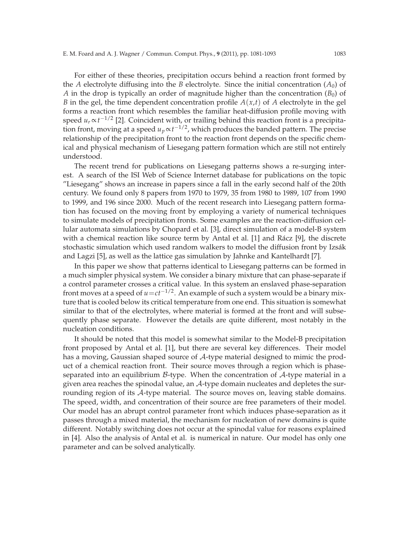For either of these theories, precipitation occurs behind a reaction front formed by the *A* electrolyte diffusing into the *B* electrolyte. Since the initial concentration  $(A_0)$  of *A* in the drop is typically an order of magnitude higher than the concentration  $(B_0)$  of *B* in the gel, the time dependent concentration profile  $A(x,t)$  of A electrolyte in the gel forms a reaction front which resembles the familiar heat-diffusion profile moving with speed  $u_r \propto t^{-1/2}$  [2]. Coincident with, or trailing behind this reaction front is a precipitation front, moving at a speed  $u_p \!\propto\! t^{-1/2}$ , which produces the banded pattern. The precise relationship of the precipitation front to the reaction front depends on the specific chemical and physical mechanism of Liesegang pattern formation which are still not entirely understood.

The recent trend for publications on Liesegang patterns shows a re-surging interest. A search of the ISI Web of Science Internet database for publications on the topic "Liesegang" shows an increase in papers since a fall in the early second half of the 20th century. We found only 8 papers from 1970 to 1979, 35 from 1980 to 1989, 107 from 1990 to 1999, and 196 since 2000. Much of the recent research into Liesegang pattern formation has focused on the moving front by employing a variety of numerical techniques to simulate models of precipitation fronts. Some examples are the reaction-diffusion cellular automata simulations by Chopard et al. [3], direct simulation of a model-B system with a chemical reaction like source term by Antal et al.  $[1]$  and Rácz  $[9]$ , the discrete stochastic simulation which used random walkers to model the diffusion front by Izsák and Lagzi [5], as well as the lattice gas simulation by Jahnke and Kantelhardt [7].

In this paper we show that patterns identical to Liesegang patterns can be formed in a much simpler physical system. We consider a binary mixture that can phase-separate if a control parameter crosses a critical value. In this system an enslaved phase-separation front moves at a speed of  $u=ct^{-1/2}$ . An example of such a system would be a binary mixture that is cooled below its critical temperature from one end. This situation is somewhat similar to that of the electrolytes, where material is formed at the front and will subsequently phase separate. However the details are quite different, most notably in the nucleation conditions.

It should be noted that this model is somewhat similar to the Model-B precipitation front proposed by Antal et al. [1], but there are several key differences. Their model has a moving, Gaussian shaped source of A-type material designed to mimic the product of a chemical reaction front. Their source moves through a region which is phaseseparated into an equilibrium  $\beta$ -type. When the concentration of  $\mathcal{A}$ -type material in a given area reaches the spinodal value, an  $A$ -type domain nucleates and depletes the surrounding region of its A-type material. The source moves on, leaving stable domains. The speed, width, and concentration of their source are free parameters of their model. Our model has an abrupt control parameter front which induces phase-separation as it passes through a mixed material, the mechanism for nucleation of new domains is quite different. Notably switching does not occur at the spinodal value for reasons explained in [4]. Also the analysis of Antal et al. is numerical in nature. Our model has only one parameter and can be solved analytically.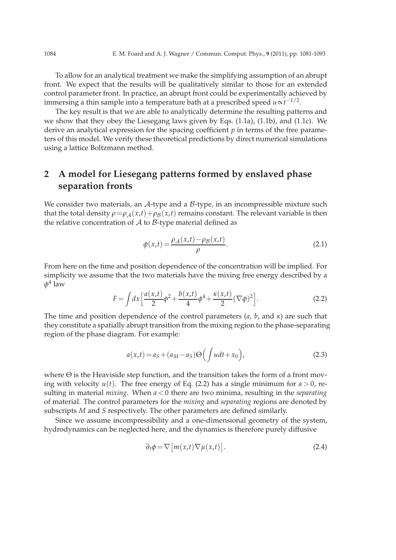To allow for an analytical treatment we make the simplifying assumption of an abrupt front. We expect that the results will be qualitatively similar to those for an extended control parameter front. In practice, an abrupt front could be experimentally achieved by immersing a thin sample into a temperature bath at a prescribed speed *u*∝*t* −1/2 .

The key result is that we are able to analytically determine the resulting patterns and we show that they obey the Liesegang laws given by Eqs. (1.1a), (1.1b), and (1.1c). We derive an analytical expression for the spacing coefficient *p* in terms of the free parameters of this model. We verify these theoretical predictions by direct numerical simulations using a lattice Boltzmann method.

## **2 A model for Liesegang patterns formed by enslaved phase separation fronts**

We consider two materials, an  $A$ -type and a  $B$ -type, in an incompressible mixture such that the total density  $\rho = \rho_A(x,t) + \rho_B(x,t)$  remains constant. The relevant variable is then the relative concentration of  $A$  to  $B$ -type material defined as

$$
\phi(x,t) = \frac{\rho_{\mathcal{A}}(x,t) - \rho_{\mathcal{B}}(x,t)}{\rho}.
$$
\n(2.1)

From here on the time and position dependence of the concentration will be implied. For simplicity we assume that the two materials have the mixing free energy described by a *φ* 4 law

$$
F = \int dx \left[ \frac{a(x,t)}{2} \phi^2 + \frac{b(x,t)}{4} \phi^4 + \frac{\kappa(x,t)}{2} (\nabla \phi)^2 \right].
$$
 (2.2)

The time and position dependence of the control parameters (*a*, *b*, and *κ*) are such that they constitute a spatially abrupt transition from the mixing region to the phase-separating region of the phase diagram. For example:

$$
a(x,t) = a_S + (a_M - a_S) \Theta\left(\int u dt + x_0\right),\tag{2.3}
$$

where  $\Theta$  is the Heaviside step function, and the transition takes the form of a front moving with velocity  $u(t)$ . The free energy of Eq. (2.2) has a single minimum for  $a > 0$ , resulting in material *mixing*. When *a*<0 there are two minima, resulting in the *separating* of material. The control parameters for the *mixing* and *separating* regions are denoted by subscripts *M* and *S* respectively. The other parameters are defined similarly.

Since we assume incompressibility and a one-dimensional geometry of the system, hydrodynamics can be neglected here, and the dynamics is therefore purely diffusive

$$
\partial_t \phi = \nabla \big[ m(x, t) \nabla \mu(x, t) \big]. \tag{2.4}
$$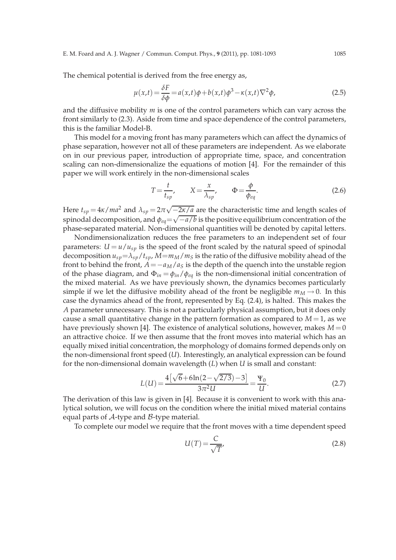The chemical potential is derived from the free energy as,

$$
\mu(x,t) = \frac{\delta F}{\delta \phi} = a(x,t)\phi + b(x,t)\phi^3 - \kappa(x,t)\nabla^2 \phi,
$$
\n(2.5)

and the diffusive mobility *m* is one of the control parameters which can vary across the front similarly to (2.3). Aside from time and space dependence of the control parameters, this is the familiar Model-B.

This model for a moving front has many parameters which can affect the dynamics of phase separation, however not all of these parameters are independent. As we elaborate on in our previous paper, introduction of appropriate time, space, and concentration scaling can non-dimensionalize the equations of motion [4]. For the remainder of this paper we will work entirely in the non-dimensional scales

$$
T = \frac{t}{t_{sp}}, \qquad X = \frac{x}{\lambda_{sp}}, \qquad \Phi = \frac{\phi}{\phi_{eq}}.
$$
 (2.6)

Here  $t_{sp} = 4\kappa/ma^2$  and  $\lambda_{sp} = 2\pi\sqrt{-\frac{2\kappa}{a}}$  are the characteristic time and length scales of spinodal decomposition, and  $\phi_{eq} = \sqrt{-a/b}$  is the positive equilibrium concentration of the phase-separated material. Non-dimensional quantities will be denoted by capital letters.

Nondimensionalization reduces the free parameters to an independent set of four parameters:  $U = u/u_{sp}$  is the speed of the front scaled by the natural speed of spinodal decomposition  $u_{sp} = \lambda_{sp}/t_{sp}$ ,  $M = m_M/m_S$  is the ratio of the diffusive mobility ahead of the front to behind the front,  $A = -a_M/a_S$  is the depth of the quench into the unstable region of the phase diagram, and  $\Phi_{in} = \phi_{in}/\phi_{eq}$  is the non-dimensional initial concentration of the mixed material. As we have previously shown, the dynamics becomes particularly simple if we let the diffusive mobility ahead of the front be negligible  $m_M \rightarrow 0$ . In this case the dynamics ahead of the front, represented by Eq. (2.4), is halted. This makes the *A* parameter unnecessary. This is not a particularly physical assumption, but it does only cause a small quantitative change in the pattern formation as compared to  $M = 1$ , as we have previously shown [4]. The existence of analytical solutions, however, makes  $M=0$ an attractive choice. If we then assume that the front moves into material which has an equally mixed initial concentration, the morphology of domains formed depends only on the non-dimensional front speed (*U*). Interestingly, an analytical expression can be found for the non-dimensional domain wavelength (*L*) when *U* is small and constant:

$$
L(U) = \frac{4\left[\sqrt{6} + 6\ln(2 - \sqrt{2/3}) - 3\right]}{3\pi^2 U} = \frac{\Psi_0}{U}.
$$
 (2.7)

The derivation of this law is given in [4]. Because it is convenient to work with this analytical solution, we will focus on the condition where the initial mixed material contains equal parts of  $\mathcal A$ -type and  $\mathcal B$ -type material.

To complete our model we require that the front moves with a time dependent speed

$$
U(T) = \frac{C}{\sqrt{T}},
$$
\n(2.8)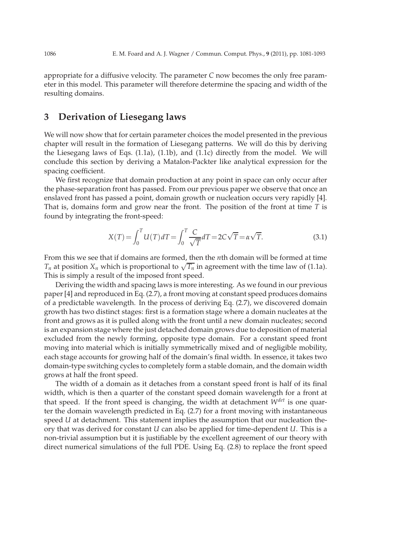appropriate for a diffusive velocity. The parameter *C* now becomes the only free parameter in this model. This parameter will therefore determine the spacing and width of the resulting domains.

## **3 Derivation of Liesegang laws**

We will now show that for certain parameter choices the model presented in the previous chapter will result in the formation of Liesegang patterns. We will do this by deriving the Liesegang laws of Eqs. (1.1a), (1.1b), and (1.1c) directly from the model. We will conclude this section by deriving a Matalon-Packter like analytical expression for the spacing coefficient.

We first recognize that domain production at any point in space can only occur after the phase-separation front has passed. From our previous paper we observe that once an enslaved front has passed a point, domain growth or nucleation occurs very rapidly [4]. That is, domains form and grow near the front. The position of the front at time *T* is found by integrating the front-speed:

$$
X(T) = \int_0^T U(T) dT = \int_0^T \frac{C}{\sqrt{T}} dT = 2C\sqrt{T} = \alpha\sqrt{T}.
$$
 (3.1)

From this we see that if domains are formed, then the *n*th domain will be formed at time *T<sub>n</sub>* at position  $X_n$  which is proportional to  $\sqrt{T_n}$  in agreement with the time law of (1.1a). This is simply a result of the imposed front speed.

Deriving the width and spacing laws is more interesting. As we found in our previous paper [4] and reproduced in Eq. (2.7), a front moving at constant speed produces domains of a predictable wavelength. In the process of deriving Eq. (2.7), we discovered domain growth has two distinct stages: first is a formation stage where a domain nucleates at the front and grows as it is pulled along with the front until a new domain nucleates; second is an expansion stage where the just detached domain grows due to deposition of material excluded from the newly forming, opposite type domain. For a constant speed front moving into material which is initially symmetrically mixed and of negligible mobility, each stage accounts for growing half of the domain's final width. In essence, it takes two domain-type switching cycles to completely form a stable domain, and the domain width grows at half the front speed.

The width of a domain as it detaches from a constant speed front is half of its final width, which is then a quarter of the constant speed domain wavelength for a front at that speed. If the front speed is changing, the width at detachment *Wdet* is one quarter the domain wavelength predicted in Eq. (2.7) for a front moving with instantaneous speed *U* at detachment. This statement implies the assumption that our nucleation theory that was derived for constant *U* can also be applied for time-dependent *U*. This is a non-trivial assumption but it is justifiable by the excellent agreement of our theory with direct numerical simulations of the full PDE. Using Eq. (2.8) to replace the front speed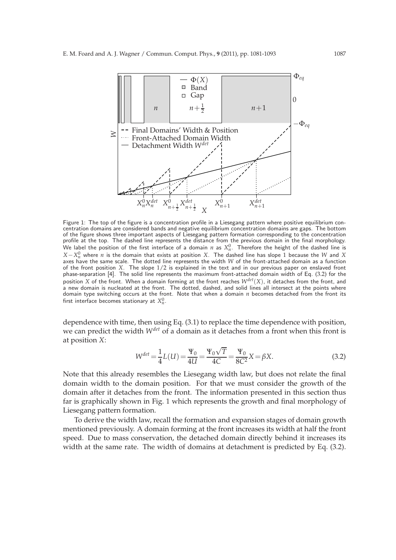

Figure 1: The top of the figure is a concentration profile in a Liesegang pattern where positive equilibrium concentration domains are considered bands and negative equilibrium concentration domains are gaps. The bottom of the figure shows three important aspects of Liesegang pattern formation corresponding to the concentration profile at the top. The dashed line represents the distance from the previous domain in the final morphology. We label the position of the first interface of a domain  $n$  as  $X^0_n$ . Therefore the height of the dashed line is  $X - X_n^0$  where *n* is the domain that exists at position *X*. The dashed line has slope 1 because the *W* and *X* axes have the same scale. The dotted line represents the width *W* of the front-attached domain as a function of the front position *X*. The slope 1/2 is explained in the text and in our previous paper on enslaved front phase-separation [4]. The solid line represents the maximum front-attached domain width of Eq. (3.2) for the position *X* of the front. When a domain forming at the front reaches *Wdet*(*X*), it detaches from the front, and a new domain is nucleated at the front. The dotted, dashed, and solid lines all intersect at the points where domain type switching occurs at the front. Note that when a domain *n* becomes detached from the front its first interface becomes stationary at  $X_n^0$ .

dependence with time, then using Eq. (3.1) to replace the time dependence with position, we can predict the width *Wdet* of a domain as it detaches from a front when this front is at position *X*:

$$
W^{det} = \frac{1}{4}L(U) = \frac{\Psi_0}{4U} = \frac{\Psi_0\sqrt{T}}{4C} = \frac{\Psi_0}{8C^2}X = \beta X.
$$
 (3.2)

Note that this already resembles the Liesegang width law, but does not relate the final domain width to the domain position. For that we must consider the growth of the domain after it detaches from the front. The information presented in this section thus far is graphically shown in Fig. 1 which represents the growth and final morphology of Liesegang pattern formation.

To derive the width law, recall the formation and expansion stages of domain growth mentioned previously. A domain forming at the front increases its width at half the front speed. Due to mass conservation, the detached domain directly behind it increases its width at the same rate. The width of domains at detachment is predicted by Eq. (3.2).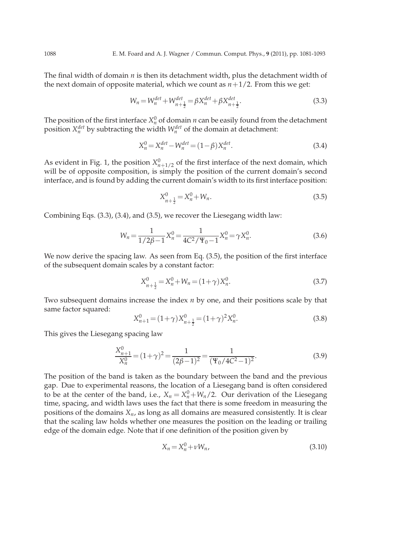The final width of domain *n* is then its detachment width, plus the detachment width of the next domain of opposite material, which we count as  $n+1/2$ . From this we get:

$$
W_n = W_n^{det} + W_{n + \frac{1}{2}}^{det} = \beta X_n^{det} + \beta X_{n + \frac{1}{2}}^{det}.
$$
\n(3.3)

The position of the first interface  $X_n^0$  of domain *n* can be easily found from the detachment position  $X_n^{det}$  by subtracting the width  $W_n^{det}$  of the domain at detachment:

$$
X_n^0 = X_n^{det} - W_n^{det} = (1 - \beta) X_n^{det}.
$$
\n(3.4)

As evident in Fig. 1, the position  $X_{n+1/2}^0$  of the first interface of the next domain, which will be of opposite composition, is simply the position of the current domain's second interface, and is found by adding the current domain's width to its first interface position:

$$
X_{n+\frac{1}{2}}^0 = X_n^0 + W_n. \tag{3.5}
$$

Combining Eqs. (3.3), (3.4), and (3.5), we recover the Liesegang width law:

$$
W_n = \frac{1}{1/2\beta - 1} X_n^0 = \frac{1}{4C^2 / \Psi_0 - 1} X_n^0 = \gamma X_n^0.
$$
 (3.6)

We now derive the spacing law. As seen from Eq. (3.5), the position of the first interface of the subsequent domain scales by a constant factor:

$$
X_{n+\frac{1}{2}}^0 = X_n^0 + W_n = (1+\gamma)X_n^0.
$$
\n(3.7)

Two subsequent domains increase the index *n* by one, and their positions scale by that same factor squared:

$$
X_{n+1}^{0} = (1+\gamma)X_{n+\frac{1}{2}}^{0} = (1+\gamma)^{2}X_{n}^{0}.
$$
\n(3.8)

This gives the Liesegang spacing law

$$
\frac{X_{n+1}^0}{X_n^0} = (1+\gamma)^2 = \frac{1}{(2\beta-1)^2} = \frac{1}{(\Psi_0/4C^2-1)^2}.
$$
\n(3.9)

The position of the band is taken as the boundary between the band and the previous gap. Due to experimental reasons, the location of a Liesegang band is often considered to be at the center of the band, i.e.,  $X_n = X_n^0 + W_n/2$ . Our derivation of the Liesegang time, spacing, and width laws uses the fact that there is some freedom in measuring the positions of the domains *Xn*, as long as all domains are measured consistently. It is clear that the scaling law holds whether one measures the position on the leading or trailing edge of the domain edge. Note that if one definition of the position given by

$$
X_n = X_n^0 + \nu W_n,\tag{3.10}
$$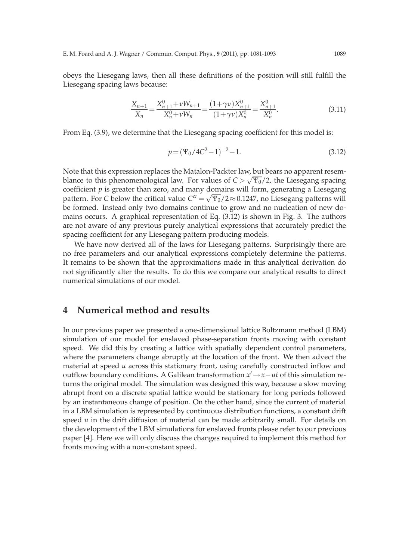obeys the Liesegang laws, then all these definitions of the position will still fulfill the Liesegang spacing laws because:

$$
\frac{X_{n+1}}{X_n} = \frac{X_{n+1}^0 + \nu W_{n+1}}{X_n^0 + \nu W_n} = \frac{(1+\gamma \nu)X_{n+1}^0}{(1+\gamma \nu)X_n^0} = \frac{X_{n+1}^0}{X_n^0}.
$$
\n(3.11)

From Eq. (3.9), we determine that the Liesegang spacing coefficient for this model is:

$$
p = (\Psi_0 / 4C^2 - 1)^{-2} - 1.
$$
\n(3.12)

Note that this expression replaces the Matalon-Packter law, but bears no apparent resemblance to this phenomenological law. For values of  $C > \sqrt{\Psi_0}/2$ , the Liesegang spacing coefficient  $p$  is greater than zero, and many domains will form, generating a Liesegang pattern. For *C* below the critical value  $C^{cr} = \sqrt{\Psi_0}/2 \approx 0.1247$ , no Liesegang patterns will be formed. Instead only two domains continue to grow and no nucleation of new domains occurs. A graphical representation of Eq. (3.12) is shown in Fig. 3. The authors are not aware of any previous purely analytical expressions that accurately predict the spacing coefficient for any Liesegang pattern producing models.

We have now derived all of the laws for Liesegang patterns. Surprisingly there are no free parameters and our analytical expressions completely determine the patterns. It remains to be shown that the approximations made in this analytical derivation do not significantly alter the results. To do this we compare our analytical results to direct numerical simulations of our model.

### **4 Numerical method and results**

In our previous paper we presented a one-dimensional lattice Boltzmann method (LBM) simulation of our model for enslaved phase-separation fronts moving with constant speed. We did this by creating a lattice with spatially dependent control parameters, where the parameters change abruptly at the location of the front. We then advect the material at speed *u* across this stationary front, using carefully constructed inflow and outflow boundary conditions. A Galilean transformation *x* ′→*x*−*ut* of this simulation returns the original model. The simulation was designed this way, because a slow moving abrupt front on a discrete spatial lattice would be stationary for long periods followed by an instantaneous change of position. On the other hand, since the current of material in a LBM simulation is represented by continuous distribution functions, a constant drift speed  $u$  in the drift diffusion of material can be made arbitrarily small. For details on the development of the LBM simulations for enslaved fronts please refer to our previous paper [4]. Here we will only discuss the changes required to implement this method for fronts moving with a non-constant speed.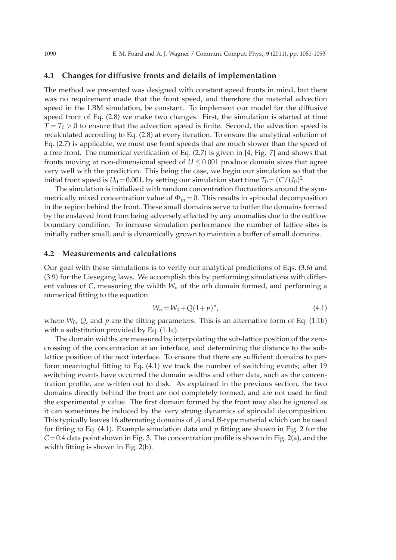#### **4.1 Changes for diffusive fronts and details of implementation**

The method we presented was designed with constant speed fronts in mind, but there was no requirement made that the front speed, and therefore the material advection speed in the LBM simulation, be constant. To implement our model for the diffusive speed front of Eq. (2.8) we make two changes. First, the simulation is started at time  $T = T_0 > 0$  to ensure that the advection speed is finite. Second, the advection speed is recalculated according to Eq. (2.8) at every iteration. To ensure the analytical solution of Eq. (2.7) is applicable, we must use front speeds that are much slower than the speed of a free front. The numerical verification of Eq. (2.7) is given in [4, Fig. 7] and shows that fronts moving at non-dimensional speed of  $U \leq 0.001$  produce domain sizes that agree very well with the prediction. This being the case, we begin our simulation so that the initial front speed is  $U_0$  = 0.001, by setting our simulation start time  $T_0$  =  $(C/U_0)^2$ .

The simulation is initialized with random concentration fluctuations around the symmetrically mixed concentration value of  $\Phi_{in} = 0$ . This results in spinodal decomposition in the region behind the front. These small domains serve to buffer the domains formed by the enslaved front from being adversely effected by any anomalies due to the outflow boundary condition. To increase simulation performance the number of lattice sites is initially rather small, and is dynamically grown to maintain a buffer of small domains.

#### **4.2 Measurements and calculations**

Our goal with these simulations is to verify our analytical predictions of Eqs. (3.6) and (3.9) for the Liesegang laws. We accomplish this by performing simulations with different values of *C*, measuring the width *W<sup>n</sup>* of the *n*th domain formed, and performing a numerical fitting to the equation

$$
W_n = W_0 + Q(1+p)^n,
$$
\n(4.1)

where  $W_0$ ,  $Q$ , and  $p$  are the fitting parameters. This is an alternative form of Eq. (1.1b) with a substitution provided by Eq. (1.1c).

The domain widths are measured by interpolating the sub-lattice position of the zerocrossing of the concentration at an interface, and determining the distance to the sublattice position of the next interface. To ensure that there are sufficient domains to perform meaningful fitting to Eq. (4.1) we track the number of switching events; after 19 switching events have occurred the domain widths and other data, such as the concentration profile, are written out to disk. As explained in the previous section, the two domains directly behind the front are not completely formed, and are not used to find the experimental *p* value. The first domain formed by the front may also be ignored as it can sometimes be induced by the very strong dynamics of spinodal decomposition. This typically leaves 16 alternating domains of  $A$  and  $B$ -type material which can be used for fitting to Eq. (4.1). Example simulation data and *p* fitting are shown in Fig. 2 for the *C*=0.4 data point shown in Fig. 3. The concentration profile is shown in Fig. 2(a), and the width fitting is shown in Fig. 2(b).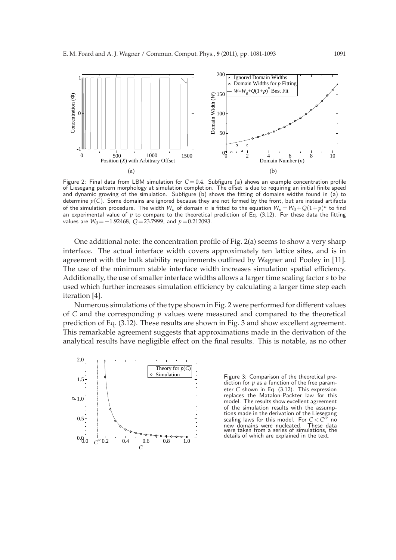

Figure 2: Final data from LBM simulation for  $C = 0.4$ . Subfigure (a) shows an example concentration profile of Liesegang pattern morphology at simulation completion. The offset is due to requiring an initial finite speed and dynamic growing of the simulation. Subfigure (b) shows the fitting of domains widths found in (a) to determine *p*(*C*). Some domains are ignored because they are not formed by the front, but are instead artifacts of the simulation procedure. The width  $W_n$  of domain  $n$  is fitted to the equation  $W_n\!=\!W_0\!+\!Q(1\!+\!p)^n$  to find an experimental value of p to compare to the theoretical prediction of Eq. (3.12). For these data the fitting values are *W*<sub>0</sub> = −1.92468, *Q* = 23.7999, and *p* = 0.212093.

One additional note: the concentration profile of Fig. 2(a) seems to show a very sharp interface. The actual interface width covers approximately ten lattice sites, and is in agreement with the bulk stability requirements outlined by Wagner and Pooley in [11]. The use of the minimum stable interface width increases simulation spatial efficiency. Additionally, the use of smaller interface widths allows a larger time scaling factor *s* to be used which further increases simulation efficiency by calculating a larger time step each iteration [4].

Numerous simulations of the type shown in Fig. 2 were performed for different values of *C* and the corresponding *p* values were measured and compared to the theoretical prediction of Eq. (3.12). These results are shown in Fig. 3 and show excellent agreement. This remarkable agreement suggests that approximations made in the derivation of the analytical results have negligible effect on the final results. This is notable, as no other



Figure 3: Comparison of the theoretical prediction for  $p$  as a function of the free parameter *C* shown in Eq. (3.12). This expression replaces the Matalon-Packter law for this model. The results show excellent agreement of the simulation results with the assumptions made in the derivation of the Liesegang scaling laws for this model. For  $C < C<sup>2</sup>$ *cr* no new domains were nucleated. These data were taken from a series of simulations, the details of which are explained in the text.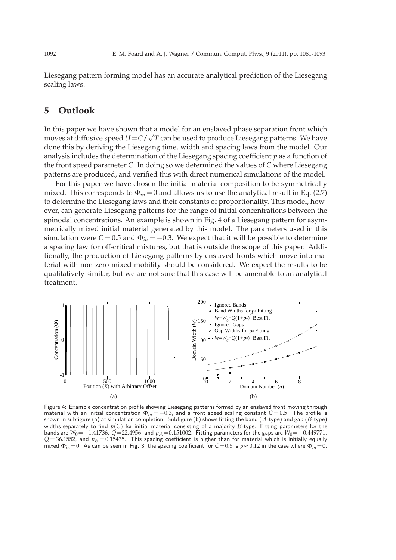Liesegang pattern forming model has an accurate analytical prediction of the Liesegang scaling laws.

### **5 Outlook**

In this paper we have shown that a model for an enslaved phase separation front which moves at diffusive speed  $U = C/\sqrt{T}$  can be used to produce Liesegang patterns. We have done this by deriving the Liesegang time, width and spacing laws from the model. Our analysis includes the determination of the Liesegang spacing coefficient *p* as a function of the front speed parameter *C*. In doing so we determined the values of *C* where Liesegang patterns are produced, and verified this with direct numerical simulations of the model.

For this paper we have chosen the initial material composition to be symmetrically mixed. This corresponds to  $\Phi_{in} = 0$  and allows us to use the analytical result in Eq. (2.7) to determine the Liesegang laws and their constants of proportionality. This model, however, can generate Liesegang patterns for the range of initial concentrations between the spinodal concentrations. An example is shown in Fig. 4 of a Liesegang pattern for asymmetrically mixed initial material generated by this model. The parameters used in this simulation were  $C = 0.5$  and  $\Phi_{in} = -0.3$ . We expect that it will be possible to determine a spacing law for off-critical mixtures, but that is outside the scope of this paper. Additionally, the production of Liesegang patterns by enslaved fronts which move into material with non-zero mixed mobility should be considered. We expect the results to be qualitatively similar, but we are not sure that this case will be amenable to an analytical treatment.



Figure 4: Example concentration profile showing Liesegang patterns formed by an enslaved front moving through<br>material with an initial concentration  $\Phi_{in} = -0.3$ , and a front speed scaling constant  $C = 0.5$ . The profile i shown in subfigure (a) at simulation completion. Subfigure (b) shows fitting the band ( $\mathcal{A}\text{-type}$ ) and gap ( $\mathcal{B}\text{-type}$ ) widths separately to find *p*(*C*) for initial material consisting of a majority *B*-type. Fitting parameters for the bands are *<sup>W</sup>*0=−1.41736, *<sup>Q</sup>*=22.4956, and *<sup>p</sup>*<sup>A</sup> =0.151002. Fitting parameters for the gaps are *<sup>W</sup>*0=−0.449771,  $Q = 36.1552$ , and  $p_B = 0.15435$ . This spacing coefficient is higher than for material which is initially equally mixed  $\Phi_{in}=0$ . As can be seen in Fig. 3, the spacing coefficient for  $C=0.5$  is  $p \approx 0.12$  in the case where  $\Phi_{in}=0$ .